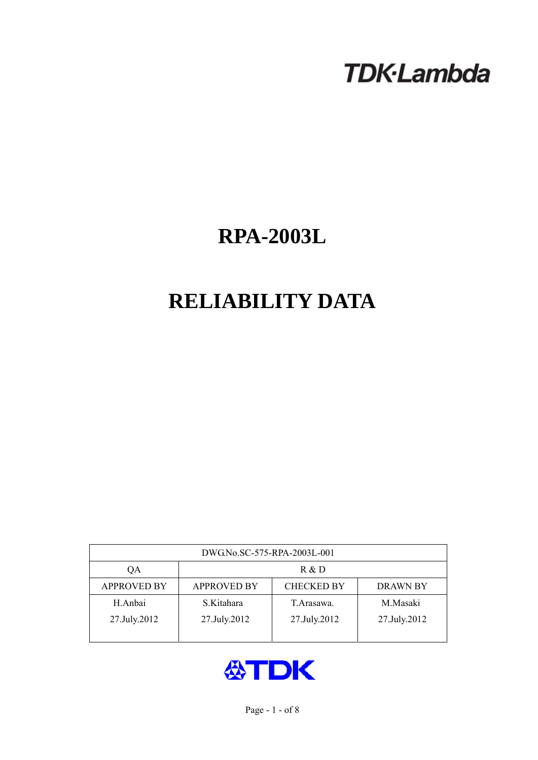# **TDK-Lambda**

# **RPA-2003L**

# **RELIABILITY DATA**

| DWG.No.SC-575-RPA-2003L-001 |                                                            |              |              |  |  |  |
|-----------------------------|------------------------------------------------------------|--------------|--------------|--|--|--|
| QA                          | R & D                                                      |              |              |  |  |  |
| <b>APPROVED BY</b>          | <b>APPROVED BY</b><br><b>CHECKED BY</b><br><b>DRAWN BY</b> |              |              |  |  |  |
| H.Anbai                     | S.Kitahara                                                 | T. Arasawa.  | M.Masaki     |  |  |  |
| 27.July.2012                | 27.July.2012                                               | 27.July.2012 | 27.July.2012 |  |  |  |
|                             |                                                            |              |              |  |  |  |

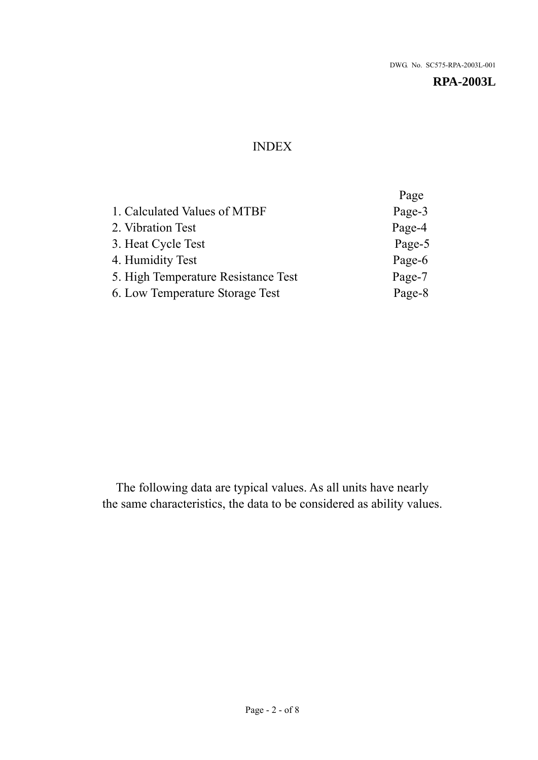# INDEX

|                                     | Page   |
|-------------------------------------|--------|
| 1. Calculated Values of MTBF        | Page-3 |
| 2. Vibration Test                   | Page-4 |
| 3. Heat Cycle Test                  | Page-5 |
| 4. Humidity Test                    | Page-6 |
| 5. High Temperature Resistance Test | Page-7 |
| 6. Low Temperature Storage Test     | Page-8 |
|                                     |        |

The following data are typical values. As all units have nearly the same characteristics, the data to be considered as ability values.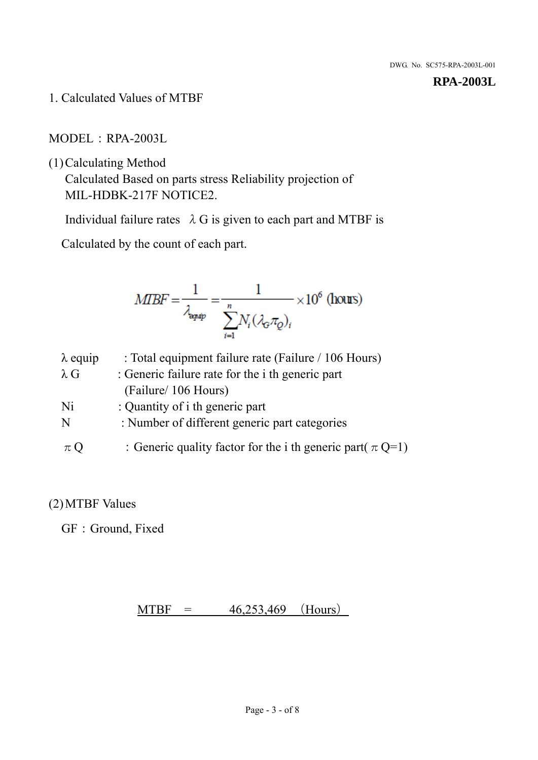1. Calculated Values of MTBF

MODEL:RPA-2003L

(1)Calculating Method

Calculated Based on parts stress Reliability projection of MIL-HDBK-217F NOTICE2.

Individual failure rates  $\lambda$  G is given to each part and MTBF is

Calculated by the count of each part.

$$
MIBF = \frac{1}{\lambda_{\text{expap}}} = \frac{1}{\sum_{i=1}^{n} N_i (\lambda_{\text{G}} \pi_Q)_i} \times 10^6 \text{ (hours)}
$$

| $\lambda$ equip | : Total equipment failure rate (Failure / 106 Hours)            |
|-----------------|-----------------------------------------------------------------|
| $\lambda$ G     | : Generic failure rate for the <i>i</i> th generic part         |
|                 | (Failure/ 106 Hours)                                            |
| Ni              | : Quantity of i th generic part                                 |
| N               | : Number of different generic part categories                   |
| $\pi Q$         | : Generic quality factor for the i th generic part( $\pi Q=1$ ) |

# (2)MTBF Values

GF: Ground, Fixed

# $MTBF = 46,253,469$  (Hours)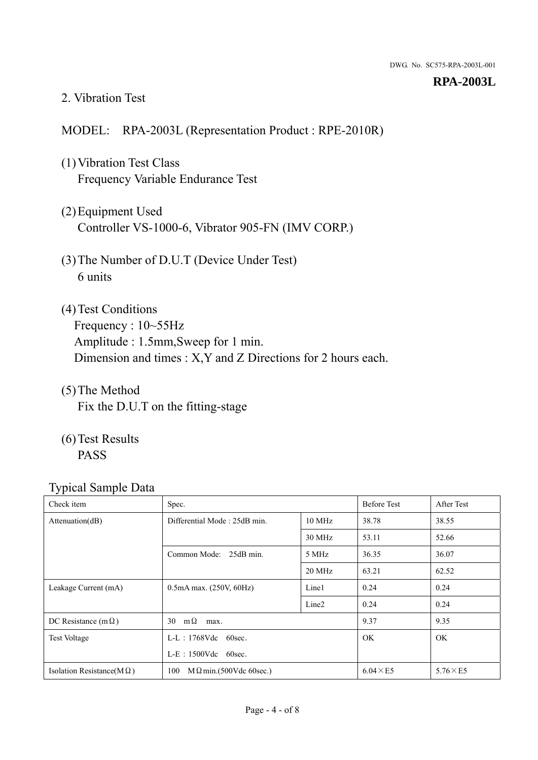### 2. Vibration Test

# MODEL: RPA-2003L (Representation Product : RPE-2010R)

- (1)Vibration Test Class Frequency Variable Endurance Test
- (2)Equipment Used Controller VS-1000-6, Vibrator 905-FN (IMV CORP.)
- (3)The Number of D.U.T (Device Under Test) 6 units
- (4) Test Conditions Frequency : 10~55Hz Amplitude : 1.5mm,Sweep for 1 min. Dimension and times : X,Y and Z Directions for 2 hours each.
- (5)The Method Fix the D.U.T on the fitting-stage
- (6)Test Results PASS

| Check item                        | Spec.                                |                   | <b>Before Test</b> | After Test      |
|-----------------------------------|--------------------------------------|-------------------|--------------------|-----------------|
| Attenuation(dB)                   | Differential Mode: 25dB min.         |                   | 38.78              | 38.55           |
|                                   |                                      | 30 MHz            | 53.11              | 52.66           |
|                                   | Common Mode: 25dB min.               | 5 MHz             | 36.35              | 36.07           |
|                                   |                                      | 20 MHz            | 63.21              | 62.52           |
| Leakage Current (mA)              | $0.5mA$ max. $(250V, 60Hz)$          | Line1             | 0.24               | 0.24            |
|                                   |                                      | Line <sub>2</sub> | 0.24               | 0.24            |
| DC Resistance (m $\Omega$ )       | $m\Omega$<br>30<br>max.              |                   | 9.37               | 9.35            |
| <b>Test Voltage</b>               | $L-L$ : 1768Vdc 60sec.               |                   | <b>OK</b>          | <b>OK</b>       |
|                                   | $L-E$ : 1500Vdc 60sec.               |                   |                    |                 |
| Isolation Resistance( $M\Omega$ ) | 100<br>$M\Omega$ min.(500Vdc 60sec.) |                   | $6.04 \times E5$   | $5.76\times E5$ |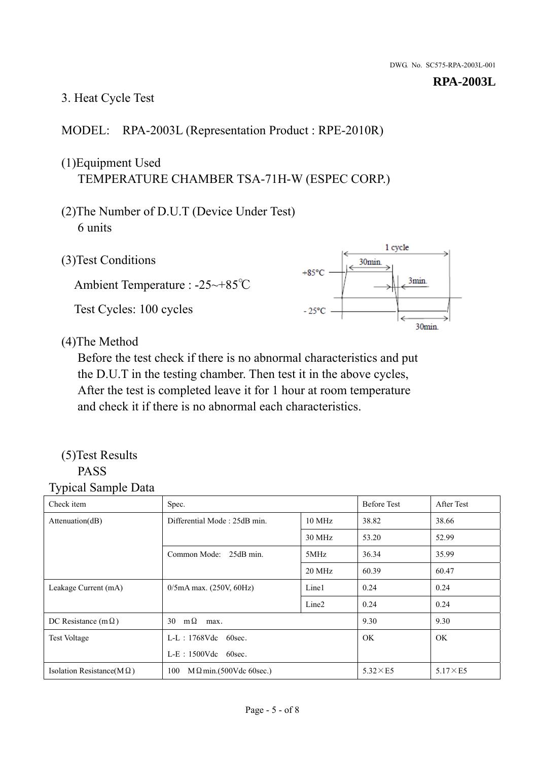# 3. Heat Cycle Test

# MODEL: RPA-2003L (Representation Product : RPE-2010R)

# (1)Equipment Used TEMPERATURE CHAMBER TSA-71H-W (ESPEC CORP.)

- (2)The Number of D.U.T (Device Under Test) 6 units
- 1 cycle (3)Test Conditions 30<sub>min</sub>  $+85^{\circ}$ C 3min. Ambient Temperature : -25~+85℃ Test Cycles: 100 cycles  $-25^{\circ}$ C 30min.

(4)The Method

Before the test check if there is no abnormal characteristics and put the D.U.T in the testing chamber. Then test it in the above cycles, After the test is completed leave it for 1 hour at room temperature and check it if there is no abnormal each characteristics.

## (5)Test Results PASS

| ┙┸<br>$\mathbf{I}$<br>Check item  | Spec.                                |                   | <b>Before Test</b> | After Test      |
|-----------------------------------|--------------------------------------|-------------------|--------------------|-----------------|
| Attention(dB)                     | Differential Mode: 25dB min.         | 10 MHz            | 38.82              | 38.66           |
|                                   |                                      | 30 MHz            | 53.20              | 52.99           |
|                                   | Common Mode: 25dB min.               | 5MHz              | 36.34              | 35.99           |
|                                   |                                      | 20 MHz            | 60.39              | 60.47           |
| Leakage Current (mA)              | $0/5$ mA max. (250V, 60Hz)           | Line1             | 0.24               | 0.24            |
|                                   |                                      | Line <sub>2</sub> | 0.24               | 0.24            |
| DC Resistance (m $\Omega$ )       | $m\Omega$<br>30<br>max.              |                   | 9.30               | 9.30            |
| <b>Test Voltage</b>               | $L-L$ : 1768Vdc 60sec.               |                   | OK.                | OK.             |
|                                   | $L-E$ : 1500Vdc 60sec.               |                   |                    |                 |
| Isolation Resistance(M $\Omega$ ) | 100<br>$M\Omega$ min.(500Vdc 60sec.) |                   | $5.32\times E5$    | $5.17\times E5$ |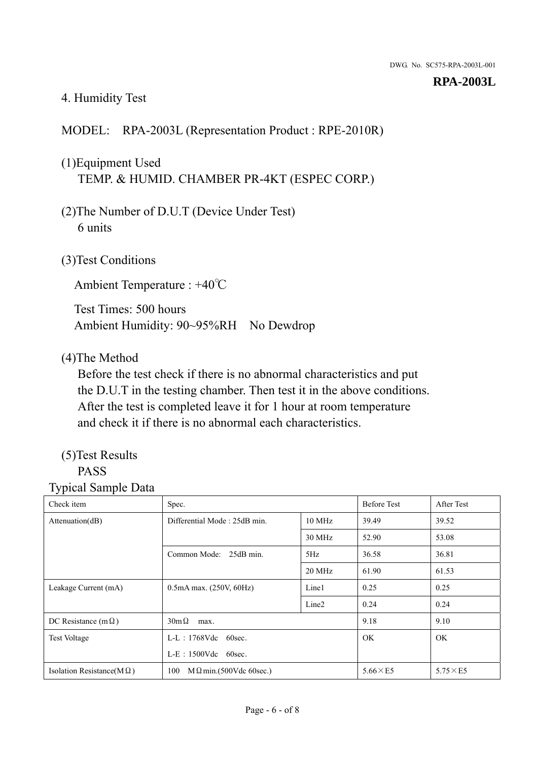# 4. Humidity Test

# MODEL: RPA-2003L (Representation Product : RPE-2010R)

# (1)Equipment Used TEMP. & HUMID. CHAMBER PR-4KT (ESPEC CORP.)

- (2)The Number of D.U.T (Device Under Test) 6 units
- (3)Test Conditions

Ambient Temperature : +40℃

Test Times: 500 hours Ambient Humidity: 90~95%RH No Dewdrop

# (4)The Method

Before the test check if there is no abnormal characteristics and put the D.U.T in the testing chamber. Then test it in the above conditions. After the test is completed leave it for 1 hour at room temperature and check it if there is no abnormal each characteristics.

# (5)Test Results

# PASS

| ັ່<br>л.<br>Check item            | Spec.                                  |                   | <b>Before Test</b> | After Test      |
|-----------------------------------|----------------------------------------|-------------------|--------------------|-----------------|
| Attenuation(dB)                   | Differential Mode: 25dB min.<br>10 MHz |                   | 39.49              | 39.52           |
|                                   |                                        | 30 MHz            | 52.90              | 53.08           |
|                                   | Common Mode: 25dB min.                 | 5Hz               | 36.58              | 36.81           |
|                                   |                                        | 20 MHz            | 61.90              | 61.53           |
| Leakage Current (mA)              | $0.5mA$ max. $(250V, 60Hz)$            | Line1             | 0.25               | 0.25            |
|                                   |                                        | Line <sub>2</sub> | 0.24               | 0.24            |
| DC Resistance (m $\Omega$ )       | $30m\Omega$<br>max.                    |                   | 9.18               | 9.10            |
| <b>Test Voltage</b>               | $L-L$ : 1768Vdc 60sec.                 |                   | OK.                | OK.             |
|                                   | $L-E$ : 1500Vdc 60sec.                 |                   |                    |                 |
| Isolation Resistance(M $\Omega$ ) | $M \Omega$ min.(500Vdc 60sec.)<br>100  |                   | $5.66\times E5$    | $5.75\times E5$ |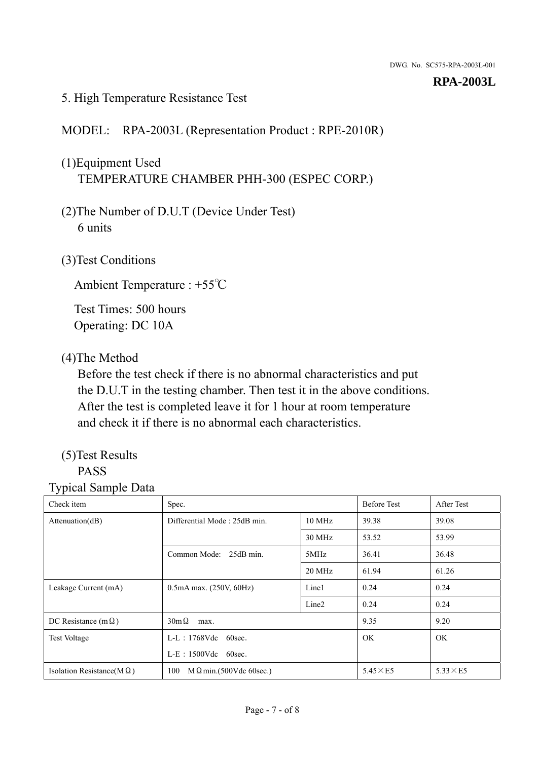## 5. High Temperature Resistance Test

# MODEL: RPA-2003L (Representation Product : RPE-2010R)

# (1)Equipment Used TEMPERATURE CHAMBER PHH-300 (ESPEC CORP.)

- (2)The Number of D.U.T (Device Under Test) 6 units
- (3)Test Conditions

Ambient Temperature : +55℃

Test Times: 500 hours Operating: DC 10A

# (4)The Method

Before the test check if there is no abnormal characteristics and put the D.U.T in the testing chamber. Then test it in the above conditions. After the test is completed leave it for 1 hour at room temperature and check it if there is no abnormal each characteristics.

# (5)Test Results

# PASS

| ┙┸<br>Check item                  | Spec.                                |                   | <b>Before Test</b> | After Test      |
|-----------------------------------|--------------------------------------|-------------------|--------------------|-----------------|
| Attention(dB)                     | Differential Mode: 25dB min.         |                   | 39.38              | 39.08           |
|                                   |                                      | 30 MHz            | 53.52              | 53.99           |
|                                   | Common Mode: 25dB min.               | 5MHz              | 36.41              | 36.48           |
|                                   |                                      | 20 MHz            | 61.94              | 61.26           |
| Leakage Current (mA)              | $0.5mA$ max. $(250V, 60Hz)$          | Line1             | 0.24               | 0.24            |
|                                   |                                      | Line <sub>2</sub> | 0.24               | 0.24            |
| DC Resistance (m $\Omega$ )       | $30m\Omega$<br>max.                  |                   | 9.35               | 9.20            |
| <b>Test Voltage</b>               | $L-L$ : 1768Vdc 60sec.               |                   | OK.                | OK.             |
|                                   | $L-E$ : 1500Vdc 60sec.               |                   |                    |                 |
| Isolation Resistance(M $\Omega$ ) | 100<br>$M\Omega$ min.(500Vdc 60sec.) |                   | $5.45\times E5$    | $5.33\times E5$ |